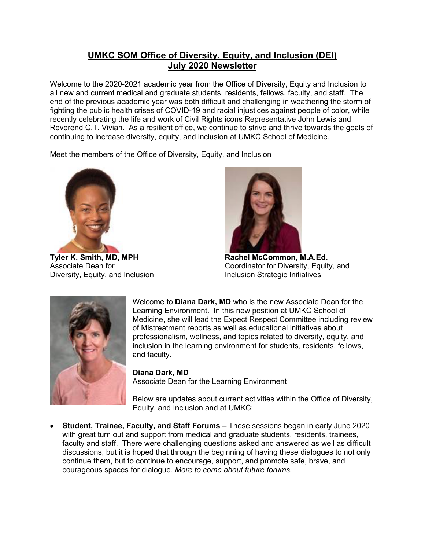# **UMKC SOM Office of Diversity, Equity, and Inclusion (DEI) July 2020 Newsletter**

Welcome to the 2020-2021 academic year from the Office of Diversity, Equity and Inclusion to all new and current medical and graduate students, residents, fellows, faculty, and staff. The end of the previous academic year was both difficult and challenging in weathering the storm of fighting the public health crises of COVID-19 and racial injustices against people of color, while recently celebrating the life and work of Civil Rights icons Representative John Lewis and Reverend C.T. Vivian. As a resilient office, we continue to strive and thrive towards the goals of continuing to increase diversity, equity, and inclusion at UMKC School of Medicine.

Meet the members of the Office of Diversity, Equity, and Inclusion



**Tyler K. Smith, MD, MPH** Associate Dean for Diversity, Equity, and Inclusion



**Rachel McCommon, M.A.Ed.** Coordinator for Diversity, Equity, and Inclusion Strategic Initiatives



Welcome to **Diana Dark, MD** who is the new Associate Dean for the Learning Environment. In this new position at UMKC School of Medicine, she will lead the Expect Respect Committee including review of Mistreatment reports as well as educational initiatives about professionalism, wellness, and topics related to diversity, equity, and inclusion in the learning environment for students, residents, fellows, and faculty.

## **Diana Dark, MD**

Associate Dean for the Learning Environment

Below are updates about current activities within the Office of Diversity, Equity, and Inclusion and at UMKC:

• **Student, Trainee, Faculty, and Staff Forums** – These sessions began in early June 2020 with great turn out and support from medical and graduate students, residents, trainees, faculty and staff. There were challenging questions asked and answered as well as difficult discussions, but it is hoped that through the beginning of having these dialogues to not only continue them, but to continue to encourage, support, and promote safe, brave, and courageous spaces for dialogue. *More to come about future forums.*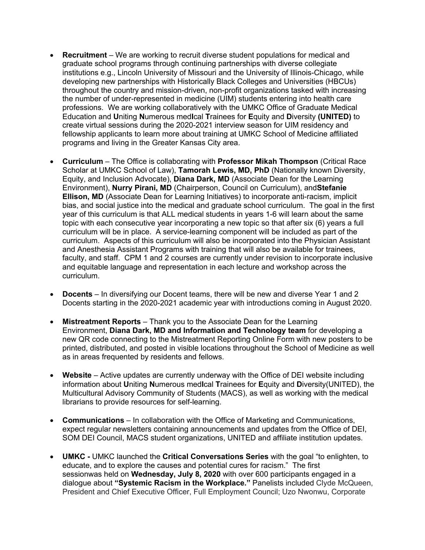- **Recruitment** We are working to recruit diverse student populations for medical and graduate school programs through continuing partnerships with diverse collegiate institutions e.g., Lincoln University of Missouri and the University of Illinois-Chicago, while developing new partnerships with Historically Black Colleges and Universities (HBCUs) throughout the country and mission-driven, non-profit organizations tasked with increasing the number of under-represented in medicine (UIM) students entering into health care professions. We are working collaboratively with the UMKC Office of Graduate Medical Education and **U**niting **N**umerous med**I**cal **T**rainees for **E**quity and **D**iversity **(UNITED)** to create virtual sessions during the 2020-2021 interview season for UIM residency and fellowship applicants to learn more about training at UMKC School of Medicine affiliated programs and living in the Greater Kansas City area.
- **Curriculum** The Office is collaborating with **Professor Mikah Thompson** (Critical Race Scholar at UMKC School of Law), **Tamorah Lewis, MD, PhD** (Nationally known Diversity, Equity, and Inclusion Advocate), **Diana Dark, MD** (Associate Dean for the Learning Environment), **Nurry Pirani, MD** (Chairperson, Council on Curriculum), and**Stefanie Ellison, MD** (Associate Dean for Learning Initiatives) to incorporate anti-racism, implicit bias, and social justice into the medical and graduate school curriculum. The goal in the first year of this curriculum is that ALL medical students in years 1-6 will learn about the same topic with each consecutive year incorporating a new topic so that after six (6) years a full curriculum will be in place. A service-learning component will be included as part of the curriculum. Aspects of this curriculum will also be incorporated into the Physician Assistant and Anesthesia Assistant Programs with training that will also be available for trainees, faculty, and staff. CPM 1 and 2 courses are currently under revision to incorporate inclusive and equitable language and representation in each lecture and workshop across the curriculum.
- **Docents** In diversifying our Docent teams, there will be new and diverse Year 1 and 2 Docents starting in the 2020-2021 academic year with introductions coming in August 2020.
- **Mistreatment Reports** Thank you to the Associate Dean for the Learning Environment, **Diana Dark, MD and Information and Technology team** for developing a new QR code connecting to the Mistreatment Reporting Online Form with new posters to be printed, distributed, and posted in visible locations throughout the School of Medicine as well as in areas frequented by residents and fellows.
- **Website** Active updates are currently underway with the Office of DEI website including information about **U**niting **N**umerous med**I**cal **T**rainees for **E**quity and **D**iversity(UNITED), the Multicultural Advisory Community of Students (MACS), as well as working with the medical librarians to provide resources for self-learning.
- **Communications** In collaboration with the Office of Marketing and Communications, expect regular newsletters containing announcements and updates from the Office of DEI, SOM DEI Council, MACS student organizations, UNITED and affiliate institution updates.
- **UMKC -** UMKC launched the **Critical Conversations Series** with the goal "to enlighten, to educate, and to explore the causes and potential cures for racism." The first sessionwas held on **Wednesday, July 8, 2020** with over 600 participants engaged in a dialogue about **"Systemic Racism in the Workplace."** Panelists included Clyde McQueen, President and Chief Executive Officer, Full Employment Council; Uzo Nwonwu, Corporate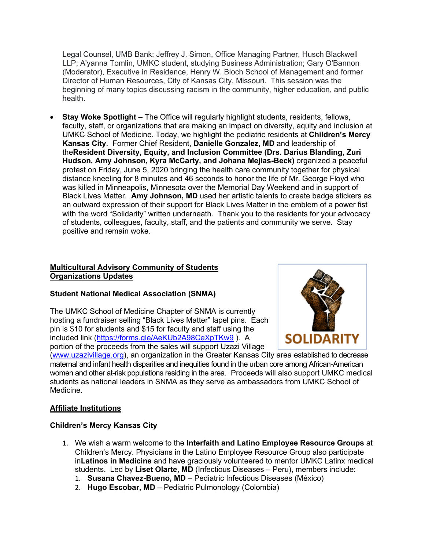Legal Counsel, UMB Bank; Jeffrey J. Simon, Office Managing Partner, Husch Blackwell LLP; A'yanna Tomlin, UMKC student, studying Business Administration; Gary O'Bannon (Moderator), Executive in Residence, Henry W. Bloch School of Management and former Director of Human Resources, City of Kansas City, Missouri. This session was the beginning of many topics discussing racism in the community, higher education, and public health.

• **Stay Woke Spotlight** – The Office will regularly highlight students, residents, fellows, faculty, staff, or organizations that are making an impact on diversity, equity and inclusion at UMKC School of Medicine. Today, we highlight the pediatric residents at **Children's Mercy Kansas City**. Former Chief Resident, **Danielle Gonzalez, MD** and leadership of the**Resident Diversity, Equity, and Inclusion Committee (Drs. Darius Blanding, Zuri Hudson, Amy Johnson, Kyra McCarty, and Johana Mejias-Beck)** organized a peaceful protest on Friday, June 5, 2020 bringing the health care community together for physical distance kneeling for 8 minutes and 46 seconds to honor the life of Mr. George Floyd who was killed in Minneapolis, Minnesota over the Memorial Day Weekend and in support of Black Lives Matter. **Amy Johnson, MD** used her artistic talents to create badge stickers as an outward expression of their support for Black Lives Matter in the emblem of a power fist with the word "Solidarity" written underneath. Thank you to the residents for your advocacy of students, colleagues, faculty, staff, and the patients and community we serve. Stay positive and remain woke.

#### **Multicultural Advisory Community of Students Organizations Updates**

## **Student National Medical Association (SNMA)**

The UMKC School of Medicine Chapter of SNMA is currently hosting a fundraiser selling "Black Lives Matter" lapel pins. Each pin is \$10 for students and \$15 for faculty and staff using the included link (https://forms.gle/AeKUb2A98CeXpTKw9 ). A portion of the proceeds from the sales will support Uzazi Village



(www.uzazivillage.org), an organization in the Greater Kansas City area established to decrease maternal and infant health disparities and inequities found in the urban core among African-American women and other at-risk populations residing in the area. Proceeds will also support UMKC medical students as national leaders in SNMA as they serve as ambassadors from UMKC School of Medicine.

## **Affiliate Institutions**

## **Children's Mercy Kansas City**

- 1. We wish a warm welcome to the **Interfaith and Latino Employee Resource Groups** at Children's Mercy. Physicians in the Latino Employee Resource Group also participate in**Latinos in Medicine** and have graciously volunteered to mentor UMKC Latinx medical students. Led by **Liset Olarte, MD** (Infectious Diseases – Peru), members include:
	- 1. **Susana Chavez-Bueno, MD** Pediatric Infectious Diseases (México)
	- 2. **Hugo Escobar, MD** Pediatric Pulmonology (Colombia)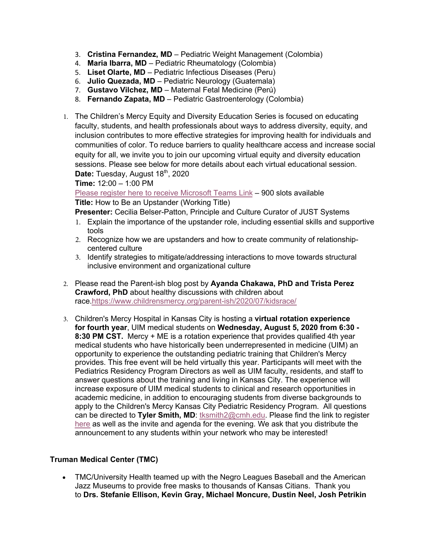- 3. **Cristina Fernandez, MD** Pediatric Weight Management (Colombia)
- 4. **Maria Ibarra, MD** Pediatric Rheumatology (Colombia)
- 5. **Liset Olarte, MD** Pediatric Infectious Diseases (Peru)
- 6. **Julio Quezada, MD** Pediatric Neurology (Guatemala)
- 7. **Gustavo Vilchez, MD** Maternal Fetal Medicine (Perú)
- 8. **Fernando Zapata, MD** Pediatric Gastroenterology (Colombia)
- 1. The Children's Mercy Equity and Diversity Education Series is focused on educating faculty, students, and health professionals about ways to address diversity, equity, and inclusion contributes to more effective strategies for improving health for individuals and communities of color. To reduce barriers to quality healthcare access and increase social equity for all, we invite you to join our upcoming virtual equity and diversity education sessions. Please see below for more details about each virtual educational session. Date: Tuesday, August 18<sup>th</sup>, 2020

**Time:** 12:00 – 1:00 PM

Please register here to receive [Microsoft](https://eventactions.com/eareg.aspx?ea=Rsvp&invite=0kf8v1a6udvzgbcpr33aunsw416vpwzf6ycjzpxdwp1b0xcehurw) Teams Link - 900 slots available **Title:** How to Be an Upstander (Working Title)

**Presenter:** Cecilia Belser-Patton, Principle and Culture Curator of JUST Systems

- 1. Explain the importance of the upstander role, including essential skills and supportive tools
- 2. Recognize how we are upstanders and how to create community of relationshipcentered culture
- 3. Identify strategies to mitigate/addressing interactions to move towards structural inclusive environment and organizational culture
- 2. Please read the Parent-ish blog post by **Ayanda Chakawa, PhD and Trista Perez Crawford, PhD** about healthy discussions with children about race.https://www.childrensmercy.org/parent-ish/2020/07/kidsrace/
- 3. Children's Mercy Hospital in Kansas City is hosting a **virtual rotation experience for fourth year**, UIM medical students on **Wednesday, August 5, 2020 from 6:30 - 8:30 PM CST.** Mercy + ME is a rotation experience that provides qualified 4th year medical students who have historically been underrepresented in medicine (UIM) an opportunity to experience the outstanding pediatric training that Children's Mercy provides. This free event will be held virtually this year. Participants will meet with the Pediatrics Residency Program Directors as well as UIM faculty, residents, and staff to answer questions about the training and living in Kansas City. The experience will increase exposure of UIM medical students to clinical and research opportunities in academic medicine, in addition to encouraging students from diverse backgrounds to apply to the Children's Mercy Kansas City Pediatric Residency Program. All questions can be directed to **Tyler Smith, MD**: tksmith2@cmh.edu. Please find the link to register here as well as the invite and agenda for the evening. We ask that you distribute the announcement to any students within your network who may be interested!

#### **Truman Medical Center (TMC)**

• TMC/University Health teamed up with the Negro Leagues Baseball and the American Jazz Museums to provide free masks to thousands of Kansas Citians. Thank you to **Drs. Stefanie Ellison, Kevin Gray, Michael Moncure, Dustin Neel, Josh Petrikin**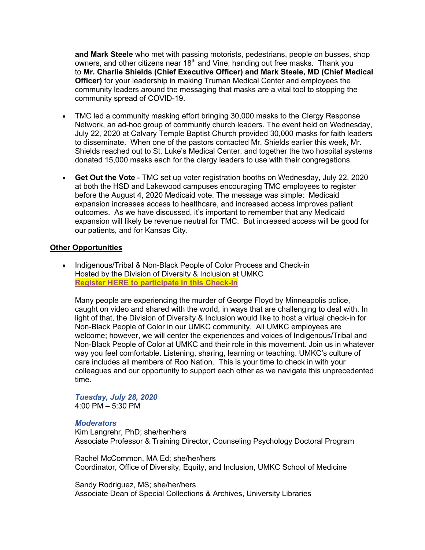**and Mark Steele** who met with passing motorists, pedestrians, people on busses, shop owners, and other citizens near  $18<sup>th</sup>$  and Vine, handing out free masks. Thank you to **Mr. Charlie Shields (Chief Executive Officer) and Mark Steele, MD (Chief Medical Officer)** for your leadership in making Truman Medical Center and employees the community leaders around the messaging that masks are a vital tool to stopping the community spread of COVID-19.

- TMC led a community masking effort bringing 30,000 masks to the Clergy Response Network, an ad-hoc group of community church leaders. The event held on Wednesday, July 22, 2020 at Calvary Temple Baptist Church provided 30,000 masks for faith leaders to disseminate. When one of the pastors contacted Mr. Shields earlier this week, Mr. Shields reached out to St. Luke's Medical Center, and together the two hospital systems donated 15,000 masks each for the clergy leaders to use with their congregations.
- **Get Out the Vote** TMC set up voter registration booths on Wednesday, July 22, 2020 at both the HSD and Lakewood campuses encouraging TMC employees to register before the August 4, 2020 Medicaid vote. The message was simple: Medicaid expansion increases access to healthcare, and increased access improves patient outcomes. As we have discussed, it's important to remember that any Medicaid expansion will likely be revenue neutral for TMC. But increased access will be good for our patients, and for Kansas City.

#### **Other Opportunities**

• Indigenous/Tribal & Non-Black People of Color Process and Check-in Hosted by the Division of Diversity & Inclusion at UMKC **[Register HERE to participate in this Check-In](https://urldefense.proofpoint.com/v2/url?u=https-3A__umsystem.zoom.us_meeting_register_tJcqd-2D2upzwoHNPF-5Ff1IyER1ibqmvhQKe38m&d=DwMF-g&c=Zl2T6vaIOSZ-iGixmidu-Jjpn1CKtCl7U5wJPI4UCTc&r=gbRY1J0mbZFsLfd_qOdvOw&m=g6plDcutLWyQkZxpQOGN6xptbL7xZGAJvIByDLJ1KE0&s=ZfcU8D60GmIh5MXBvpaBh1-7juDjyJle9hQdWnB2plw&e=)**

Many people are experiencing the murder of George Floyd by Minneapolis police, caught on video and shared with the world, in ways that are challenging to deal with. In light of that, the Division of Diversity & Inclusion would like to host a virtual check-in for Non-Black People of Color in our UMKC community. All UMKC employees are welcome; however, we will center the experiences and voices of Indigenous/Tribal and Non-Black People of Color at UMKC and their role in this movement. Join us in whatever way you feel comfortable. Listening, sharing, learning or teaching. UMKC's culture of care includes all members of Roo Nation. This is your time to check in with your colleagues and our opportunity to support each other as we navigate this unprecedented time.

#### *Tuesday, July 28, 2020*  $4:00$  PM  $-5:30$  PM

#### *Moderators*

Kim Langrehr, PhD; she/her/hers Associate Professor & Training Director, Counseling Psychology Doctoral Program

Rachel McCommon, MA Ed; she/her/hers Coordinator, Office of Diversity, Equity, and Inclusion, UMKC School of Medicine

Sandy Rodriguez, MS; she/her/hers Associate Dean of Special Collections & Archives, University Libraries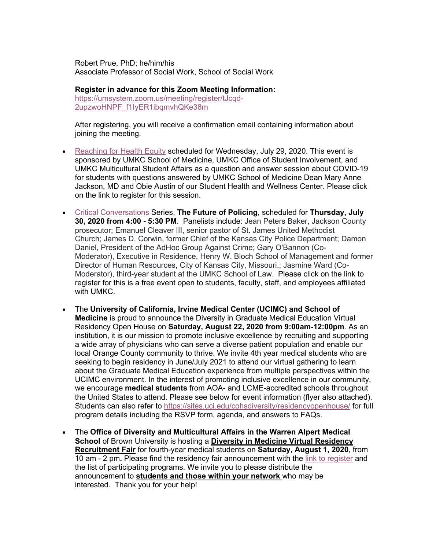Robert Prue, PhD; he/him/his Associate Professor of Social Work, School of Social Work

**Register in advance for this Zoom Meeting Information:** https://umsystem.zoom.us/meeting/register/tJcqd-2upzwoHNPF\_f1IyER1ibqmvhQKe38m

After registering, you will receive a confirmation email containing information about joining the meeting.

- Reaching for Health Equity scheduled for Wednesday, July 29, 2020. This event is sponsored by UMKC School of Medicine, UMKC Office of Student Involvement, and UMKC Multicultural Student Affairs as a question and answer session about COVID-19 for students with questions answered by UMKC School of Medicine Dean Mary Anne Jackson, MD and Obie Austin of our Student Health and Wellness Center. Please click on the link to register for this session.
- Critical Conversations Series, **The Future of Policing**, scheduled for **Thursday, July 30, 2020 from 4:00 - 5:30 PM**. Panelists include: Jean Peters Baker, Jackson County prosecutor; Emanuel Cleaver III, senior pastor of St. James United Methodist Church; James D. Corwin, former Chief of the Kansas City Police Department; Damon Daniel, President of the AdHoc Group Against Crime; Gary O'Bannon (Co-Moderator), Executive in Residence, Henry W. Bloch School of Management and former Director of Human Resources, City of Kansas City, Missouri.; Jasmine Ward (Co-Moderator), third-year student at the UMKC School of Law. Please click on the link to register for this is a free event open to students, faculty, staff, and employees affiliated with UMKC.
- The **University of California, Irvine Medical Center (UCIMC) and School of Medicine** is proud to announce the Diversity in Graduate Medical Education Virtual Residency Open House on **Saturday, August 22, 2020 from 9:00am-12:00pm**. As an institution, it is our mission to promote inclusive excellence by recruiting and supporting a wide array of physicians who can serve a diverse patient population and enable our local Orange County community to thrive. We invite 4th year medical students who are seeking to begin residency in June/July 2021 to attend our virtual gathering to learn about the Graduate Medical Education experience from multiple perspectives within the UCIMC environment. In the interest of promoting inclusive excellence in our community, we encourage **medical students** from AOA- and LCME-accredited schools throughout the United States to attend. Please see below for event information (flyer also attached). Students can also refer to https://sites.uci.edu/cohsdiversity/residencyopenhouse/ for full program details including the RSVP form, agenda, and answers to FAQs.
- The **Office of Diversity and Multicultural Affairs in the Warren Alpert Medical School** of Brown University is hosting a **Diversity in Medicine Virtual Residency Recruitment Fair** for fourth-year medical students on **Saturday, August 1, 2020**, from 10 am - 2 pm**.** Please find the residency fair announcement with the link to register and the list of participating programs. We invite you to please distribute the announcement to **students and those within your network** who may be interested. Thank you for your help!